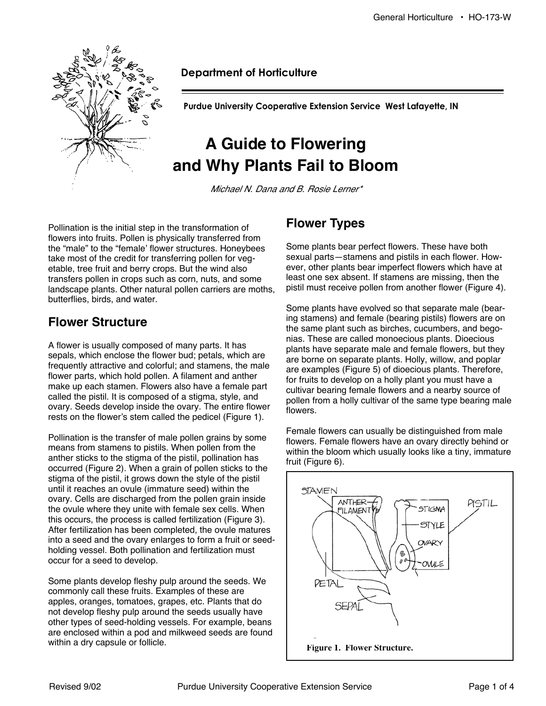

#### **Department of Horticulture**

**Purdue University Cooperative Extension Service West Lafayette, IN** 

# **A Guide to Flowering and Why Plants Fail to Bloom**

Michael N. Dana and B. Rosie Lerner\*

Pollination is the initial step in the transformation of flowers into fruits. Pollen is physically transferred from the "male" to the "female' flower structures. Honeybees take most of the credit for transferring pollen for vegetable, tree fruit and berry crops. But the wind also transfers pollen in crops such as corn, nuts, and some landscape plants. Other natural pollen carriers are moths, butterflies, birds, and water.

### **Flower Structure**

A flower is usually composed of many parts. It has sepals, which enclose the flower bud; petals, which are frequently attractive and colorful; and stamens, the male flower parts, which hold pollen. A filament and anther make up each stamen. Flowers also have a female part called the pistil. It is composed of a stigma, style, and ovary. Seeds develop inside the ovary. The entire flower rests on the flower's stem called the pedicel (Figure 1).

Pollination is the transfer of male pollen grains by some means from stamens to pistils. When pollen from the anther sticks to the stigma of the pistil, pollination has occurred (Figure 2). When a grain of pollen sticks to the stigma of the pistil, it grows down the style of the pistil until it reaches an ovule (immature seed) within the ovary. Cells are discharged from the pollen grain inside the ovule where they unite with female sex cells. When this occurs, the process is called fertilization (Figure 3). After fertilization has been completed, the ovule matures into a seed and the ovary enlarges to form a fruit or seedholding vessel. Both pollination and fertilization must occur for a seed to develop.

Some plants develop fleshy pulp around the seeds. We commonly call these fruits. Examples of these are apples, oranges, tomatoes, grapes, etc. Plants that do not develop fleshy pulp around the seeds usually have other types of seed-holding vessels. For example, beans are enclosed within a pod and milkweed seeds are found within a dry capsule or follicle.

# **Flower Types**

Some plants bear perfect flowers. These have both sexual parts—stamens and pistils in each flower. However, other plants bear imperfect flowers which have at least one sex absent. If stamens are missing, then the pistil must receive pollen from another flower (Figure 4).

Some plants have evolved so that separate male (bearing stamens) and female (bearing pistils) flowers are on the same plant such as birches, cucumbers, and begonias. These are called monoecious plants. Dioecious plants have separate male and female flowers, but they are borne on separate plants. Holly, willow, and poplar are examples (Figure 5) of dioecious plants. Therefore, for fruits to develop on a holly plant you must have a cultivar bearing female flowers and a nearby source of pollen from a holly cultivar of the same type bearing male flowers.

Female flowers can usually be distinguished from male flowers. Female flowers have an ovary directly behind or within the bloom which usually looks like a tiny, immature fruit (Figure 6).

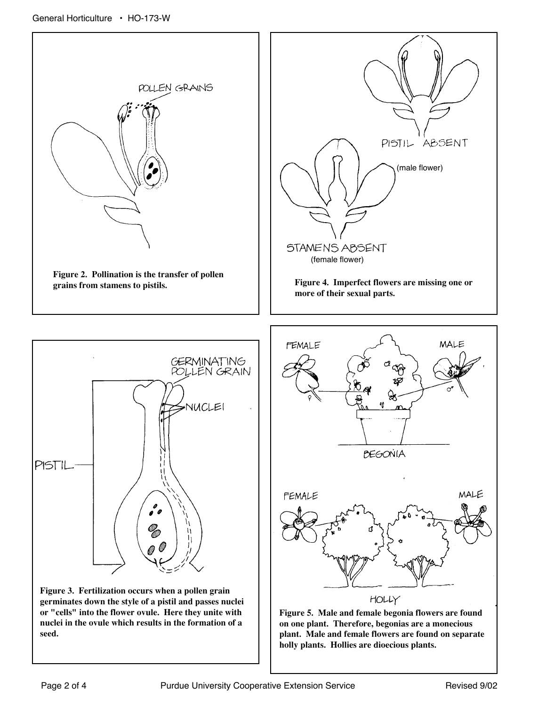



**Figure 3. Fertilization occurs when a pollen grain germinates down the style of a pistil and passes nuclei or "cells" into the flower ovule. Here they unite with nuclei in the ovule which results in the formation of a seed.** 



**Figure 5. Male and female begonia flowers are found on one plant. Therefore, begonias are a monecious plant. Male and female flowers are found on separate holly plants. Hollies are dioecious plants.**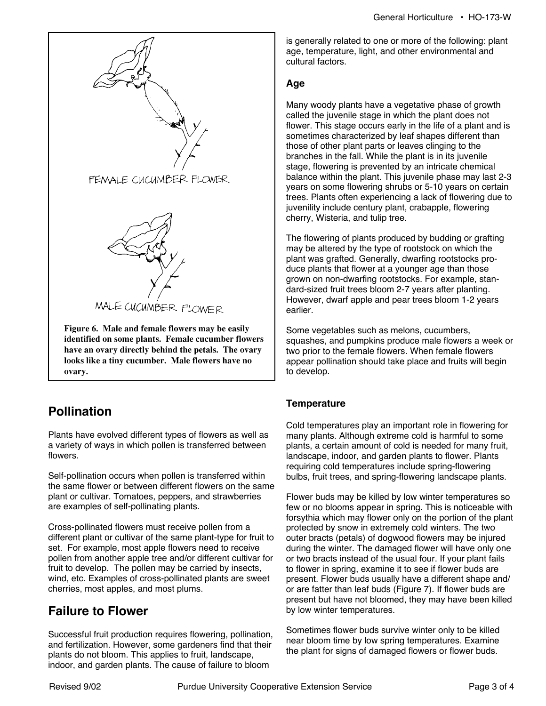

### **Pollination**

Plants have evolved different types of flowers as well as a variety of ways in which pollen is transferred between flowers.

Self-pollination occurs when pollen is transferred within the same flower or between different flowers on the same plant or cultivar. Tomatoes, peppers, and strawberries are examples of self-pollinating plants.

Cross-pollinated flowers must receive pollen from a different plant or cultivar of the same plant-type for fruit to set. For example, most apple flowers need to receive pollen from another apple tree and/or different cultivar for fruit to develop. The pollen may be carried by insects, wind, etc. Examples of cross-pollinated plants are sweet cherries, most apples, and most plums.

### **Failure to Flower**

Successful fruit production requires flowering, pollination, and fertilization. However, some gardeners find that their plants do not bloom. This applies to fruit, landscape, indoor, and garden plants. The cause of failure to bloom

is generally related to one or more of the following: plant age, temperature, light, and other environmental and cultural factors.

#### **Age**

Many woody plants have a vegetative phase of growth called the juvenile stage in which the plant does not flower. This stage occurs early in the life of a plant and is sometimes characterized by leaf shapes different than those of other plant parts or leaves clinging to the branches in the fall. While the plant is in its juvenile stage, flowering is prevented by an intricate chemical balance within the plant. This juvenile phase may last 2-3 years on some flowering shrubs or 5-10 years on certain trees. Plants often experiencing a lack of flowering due to juvenility include century plant, crabapple, flowering cherry, Wisteria, and tulip tree.

The flowering of plants produced by budding or grafting may be altered by the type of rootstock on which the plant was grafted. Generally, dwarfing rootstocks produce plants that flower at a younger age than those grown on non-dwarfing rootstocks. For example, standard-sized fruit trees bloom 2-7 years after planting. However, dwarf apple and pear trees bloom 1-2 years earlier.

Some vegetables such as melons, cucumbers, squashes, and pumpkins produce male flowers a week or two prior to the female flowers. When female flowers appear pollination should take place and fruits will begin to develop.

#### **Temperature**

Cold temperatures play an important role in flowering for many plants. Although extreme cold is harmful to some plants, a certain amount of cold is needed for many fruit, landscape, indoor, and garden plants to flower. Plants requiring cold temperatures include spring-flowering bulbs, fruit trees, and spring-flowering landscape plants.

Flower buds may be killed by low winter temperatures so few or no blooms appear in spring. This is noticeable with forsythia which may flower only on the portion of the plant protected by snow in extremely cold winters. The two outer bracts (petals) of dogwood flowers may be injured during the winter. The damaged flower will have only one or two bracts instead of the usual four. If your plant fails to flower in spring, examine it to see if flower buds are present. Flower buds usually have a different shape and/ or are fatter than leaf buds (Figure 7). If flower buds are present but have not bloomed, they may have been killed by low winter temperatures.

Sometimes flower buds survive winter only to be killed near bloom time by low spring temperatures. Examine the plant for signs of damaged flowers or flower buds.